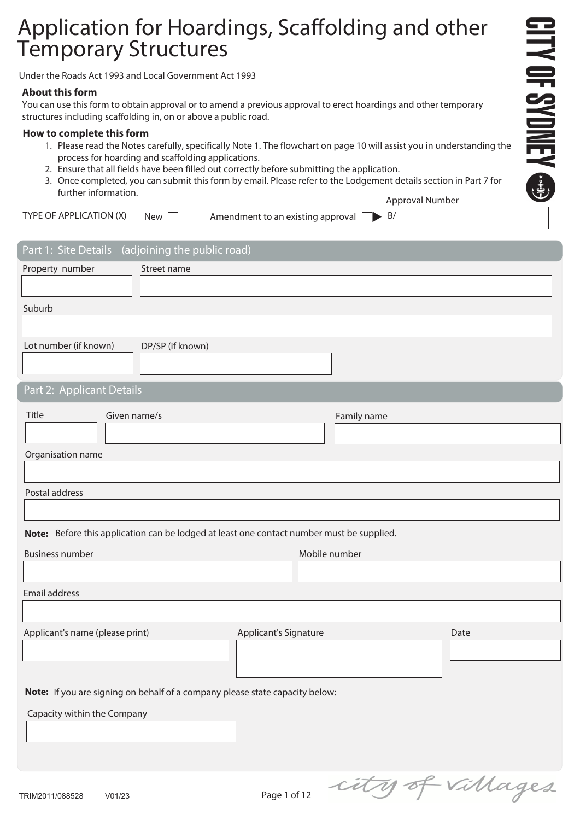# Application for Hoardings, Scaffolding and other Temporary Structures

Under the Roads Act 1993 and Local Government Act 1993

#### **About this form**

You can use this form to obtain approval or to amend a previous approval to erect hoardings and other temporary structures including scaffolding in, on or above a public road.

#### **How to complete this form**

1. Please read the Notes carefully, specifically Note 1. The flowchart on page 10 will assist you in understanding the process for hoarding and scaffolding applications.

**CITY OF SYDNEY @D** 

- 2. Ensure that all fields have been filled out correctly before submitting the application.
- 3. Once completed, you can submit this form by email. Please refer to the Lodgement details section in Part 7 for further information. Approval Number

| TYPE OF APPLICATION $(X)$ New $\Box$ |  | Amendment to an existing approval $\Box$ $\triangleright$ $\vert$ B/ |  |
|--------------------------------------|--|----------------------------------------------------------------------|--|
|--------------------------------------|--|----------------------------------------------------------------------|--|

| Part 1: Site Details (adjoining the public road)                                          |                  |                       |               |                  |
|-------------------------------------------------------------------------------------------|------------------|-----------------------|---------------|------------------|
| Property number                                                                           | Street name      |                       |               |                  |
|                                                                                           |                  |                       |               |                  |
| Suburb                                                                                    |                  |                       |               |                  |
|                                                                                           |                  |                       |               |                  |
| Lot number (if known)                                                                     | DP/SP (if known) |                       |               |                  |
| Part 2: Applicant Details                                                                 |                  |                       |               |                  |
| Title<br>Given name/s                                                                     |                  |                       | Family name   |                  |
|                                                                                           |                  |                       |               |                  |
| Organisation name                                                                         |                  |                       |               |                  |
|                                                                                           |                  |                       |               |                  |
| Postal address                                                                            |                  |                       |               |                  |
|                                                                                           |                  |                       |               |                  |
| Note: Before this application can be lodged at least one contact number must be supplied. |                  |                       |               |                  |
| <b>Business number</b>                                                                    |                  |                       | Mobile number |                  |
|                                                                                           |                  |                       |               |                  |
| Email address                                                                             |                  |                       |               |                  |
|                                                                                           |                  |                       |               |                  |
| Applicant's name (please print)                                                           |                  | Applicant's Signature |               | Date             |
|                                                                                           |                  |                       |               |                  |
|                                                                                           |                  |                       |               |                  |
| Note: If you are signing on behalf of a company please state capacity below:              |                  |                       |               |                  |
| Capacity within the Company                                                               |                  |                       |               |                  |
|                                                                                           |                  |                       |               |                  |
|                                                                                           |                  |                       |               |                  |
|                                                                                           |                  |                       |               |                  |
| TDIMOO44 IOQQEQQ<br>10102                                                                 |                  | $2001$ of 12          |               | city of villages |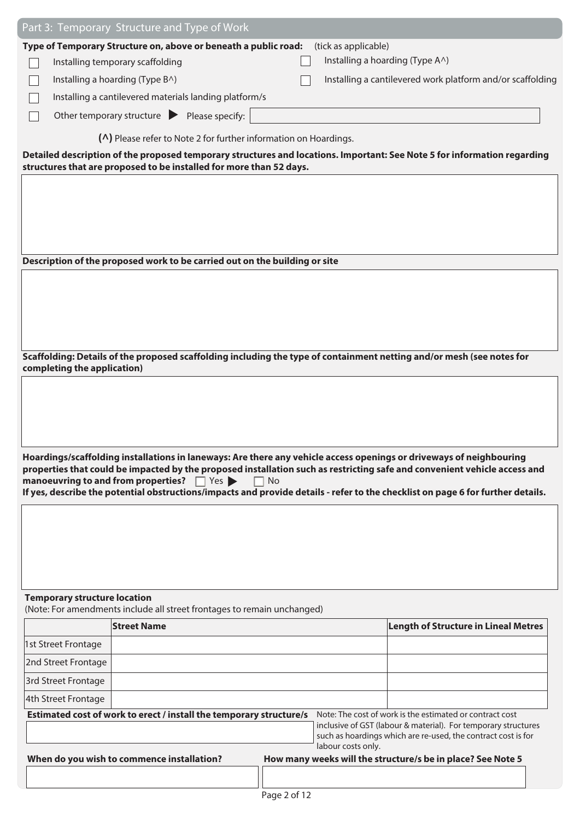|                                     | Part 3: Temporary Structure and Type of Work                                                                                                                                                                |              |                                 |                                                                |  |
|-------------------------------------|-------------------------------------------------------------------------------------------------------------------------------------------------------------------------------------------------------------|--------------|---------------------------------|----------------------------------------------------------------|--|
|                                     | Type of Temporary Structure on, above or beneath a public road:                                                                                                                                             |              | (tick as applicable)            |                                                                |  |
|                                     | Installing temporary scaffolding                                                                                                                                                                            |              | Installing a hoarding (Type A^) |                                                                |  |
|                                     | Installing a hoarding (Type B^)                                                                                                                                                                             |              |                                 | Installing a cantilevered work platform and/or scaffolding     |  |
|                                     | Installing a cantilevered materials landing platform/s                                                                                                                                                      |              |                                 |                                                                |  |
|                                     | Other temporary structure $\blacktriangleright$ Please specify:                                                                                                                                             |              |                                 |                                                                |  |
|                                     | (^) Please refer to Note 2 for further information on Hoardings.                                                                                                                                            |              |                                 |                                                                |  |
|                                     | Detailed description of the proposed temporary structures and locations. Important: See Note 5 for information regarding<br>structures that are proposed to be installed for more than 52 days.             |              |                                 |                                                                |  |
|                                     |                                                                                                                                                                                                             |              |                                 |                                                                |  |
|                                     |                                                                                                                                                                                                             |              |                                 |                                                                |  |
|                                     |                                                                                                                                                                                                             |              |                                 |                                                                |  |
|                                     |                                                                                                                                                                                                             |              |                                 |                                                                |  |
|                                     |                                                                                                                                                                                                             |              |                                 |                                                                |  |
|                                     | Description of the proposed work to be carried out on the building or site                                                                                                                                  |              |                                 |                                                                |  |
|                                     |                                                                                                                                                                                                             |              |                                 |                                                                |  |
|                                     |                                                                                                                                                                                                             |              |                                 |                                                                |  |
|                                     |                                                                                                                                                                                                             |              |                                 |                                                                |  |
|                                     |                                                                                                                                                                                                             |              |                                 |                                                                |  |
| completing the application)         | Scaffolding: Details of the proposed scaffolding including the type of containment netting and/or mesh (see notes for                                                                                       |              |                                 |                                                                |  |
|                                     |                                                                                                                                                                                                             |              |                                 |                                                                |  |
|                                     |                                                                                                                                                                                                             |              |                                 |                                                                |  |
|                                     |                                                                                                                                                                                                             |              |                                 |                                                                |  |
|                                     |                                                                                                                                                                                                             |              |                                 |                                                                |  |
|                                     | Hoardings/scaffolding installations in laneways: Are there any vehicle access openings or driveways of neighbouring                                                                                         |              |                                 |                                                                |  |
|                                     | properties that could be impacted by the proposed installation such as restricting safe and convenient vehicle access and<br>manoeuvring to and from properties? $\Box$ Yes $\blacktriangleright$<br>$\Box$ | No           |                                 |                                                                |  |
|                                     | If yes, describe the potential obstructions/impacts and provide details - refer to the checklist on page 6 for further details.                                                                             |              |                                 |                                                                |  |
|                                     |                                                                                                                                                                                                             |              |                                 |                                                                |  |
|                                     |                                                                                                                                                                                                             |              |                                 |                                                                |  |
|                                     |                                                                                                                                                                                                             |              |                                 |                                                                |  |
|                                     |                                                                                                                                                                                                             |              |                                 |                                                                |  |
|                                     |                                                                                                                                                                                                             |              |                                 |                                                                |  |
| <b>Temporary structure location</b> |                                                                                                                                                                                                             |              |                                 |                                                                |  |
|                                     | (Note: For amendments include all street frontages to remain unchanged)<br><b>Street Name</b>                                                                                                               |              |                                 | <b>Length of Structure in Lineal Metres</b>                    |  |
| 1st Street Frontage                 |                                                                                                                                                                                                             |              |                                 |                                                                |  |
| 2nd Street Frontage                 |                                                                                                                                                                                                             |              |                                 |                                                                |  |
| 3rd Street Frontage                 |                                                                                                                                                                                                             |              |                                 |                                                                |  |
| 4th Street Frontage                 |                                                                                                                                                                                                             |              |                                 |                                                                |  |
|                                     | Estimated cost of work to erect / install the temporary structure/s                                                                                                                                         |              |                                 | Note: The cost of work is the estimated or contract cost       |  |
|                                     |                                                                                                                                                                                                             |              |                                 | inclusive of GST (labour & material). For temporary structures |  |
|                                     |                                                                                                                                                                                                             |              | labour costs only.              | such as hoardings which are re-used, the contract cost is for  |  |
|                                     | When do you wish to commence installation?                                                                                                                                                                  |              |                                 | How many weeks will the structure/s be in place? See Note 5    |  |
|                                     |                                                                                                                                                                                                             |              |                                 |                                                                |  |
|                                     |                                                                                                                                                                                                             | Page 2 of 12 |                                 |                                                                |  |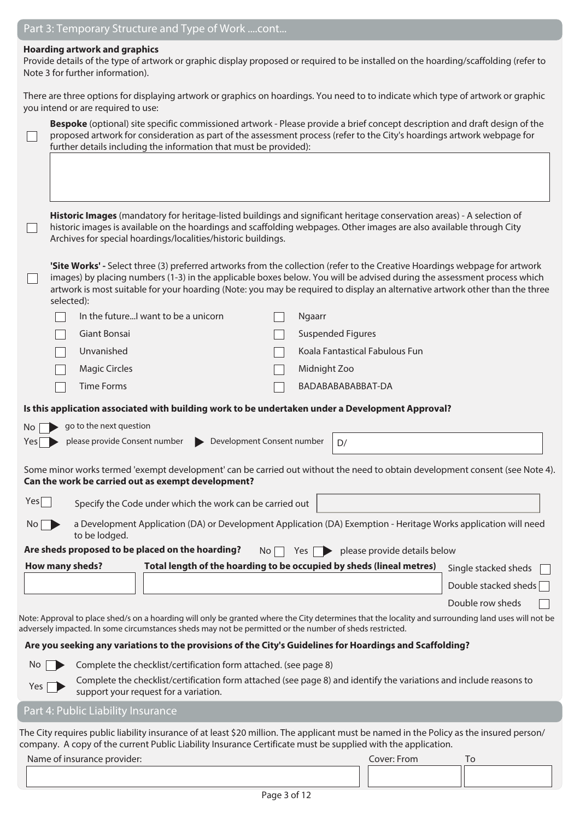#### **Hoarding artwork and graphics**

Provide details of the type of artwork or graphic display proposed or required to be installed on the hoarding/scaffolding (refer to Note 3 for further information).

There are three options for displaying artwork or graphics on hoardings. You need to to indicate which type of artwork or graphic you intend or are required to use:

|                | Bespoke (optional) site specific commissioned artwork - Please provide a brief concept description and draft design of the<br>proposed artwork for consideration as part of the assessment process (refer to the City's hoardings artwork webpage for<br>further details including the information that must be provided):                                                                           |                      |
|----------------|------------------------------------------------------------------------------------------------------------------------------------------------------------------------------------------------------------------------------------------------------------------------------------------------------------------------------------------------------------------------------------------------------|----------------------|
|                | Historic Images (mandatory for heritage-listed buildings and significant heritage conservation areas) - A selection of<br>historic images is available on the hoardings and scaffolding webpages. Other images are also available through City<br>Archives for special hoardings/localities/historic buildings.                                                                                      |                      |
|                | 'Site Works' - Select three (3) preferred artworks from the collection (refer to the Creative Hoardings webpage for artwork<br>images) by placing numbers (1-3) in the applicable boxes below. You will be advised during the assessment process which<br>artwork is most suitable for your hoarding (Note: you may be required to display an alternative artwork other than the three<br>selected): |                      |
|                | In the futureI want to be a unicorn<br>Ngaarr                                                                                                                                                                                                                                                                                                                                                        |                      |
|                | Giant Bonsai<br><b>Suspended Figures</b>                                                                                                                                                                                                                                                                                                                                                             |                      |
|                | Unvanished<br>Koala Fantastical Fabulous Fun                                                                                                                                                                                                                                                                                                                                                         |                      |
|                | <b>Magic Circles</b><br>Midnight Zoo                                                                                                                                                                                                                                                                                                                                                                 |                      |
|                | <b>Time Forms</b><br>BADABABABABBAT-DA                                                                                                                                                                                                                                                                                                                                                               |                      |
|                | Is this application associated with building work to be undertaken under a Development Approval?                                                                                                                                                                                                                                                                                                     |                      |
| No             | go to the next question                                                                                                                                                                                                                                                                                                                                                                              |                      |
| Yes            | please provide Consent number<br>Development Consent number<br>D/                                                                                                                                                                                                                                                                                                                                    |                      |
|                | Some minor works termed 'exempt development' can be carried out without the need to obtain development consent (see Note 4).<br>Can the work be carried out as exempt development?                                                                                                                                                                                                                   |                      |
| Yes            | Specify the Code under which the work can be carried out                                                                                                                                                                                                                                                                                                                                             |                      |
| $\overline{N}$ | a Development Application (DA) or Development Application (DA) Exemption - Heritage Works application will need<br>to be lodged.                                                                                                                                                                                                                                                                     |                      |
|                | Are sheds proposed to be placed on the hoarding? No $\Box$ Yes $\Box$ please provide details below                                                                                                                                                                                                                                                                                                   |                      |
|                | Total length of the hoarding to be occupied by sheds (lineal metres)<br><b>How many sheds?</b>                                                                                                                                                                                                                                                                                                       | Single stacked sheds |
|                |                                                                                                                                                                                                                                                                                                                                                                                                      | Double stacked sheds |
|                |                                                                                                                                                                                                                                                                                                                                                                                                      | Double row sheds     |
|                | Note: Approval to place shed/s on a hoarding will only be granted where the City determines that the locality and surrounding land uses will not be<br>adversely impacted. In some circumstances sheds may not be permitted or the number of sheds restricted.                                                                                                                                       |                      |
|                | Are you seeking any variations to the provisions of the City's Guidelines for Hoardings and Scaffolding?                                                                                                                                                                                                                                                                                             |                      |
| No             | Complete the checklist/certification form attached. (see page 8)                                                                                                                                                                                                                                                                                                                                     |                      |

Yes  $\sum$  Complete the checklist/certification form attached (see page 8) and identify the variations and include reasons to support your request for a variation.

#### Part 4: Public Liability Insurance

The City requires public liability insurance of at least \$20 million. The applicant must be named in the Policy as the insured person/ company. A copy of the current Public Liability Insurance Certificate must be supplied with the application.

|  | Name of insurance provider: |
|--|-----------------------------|
|  |                             |

Cover: From To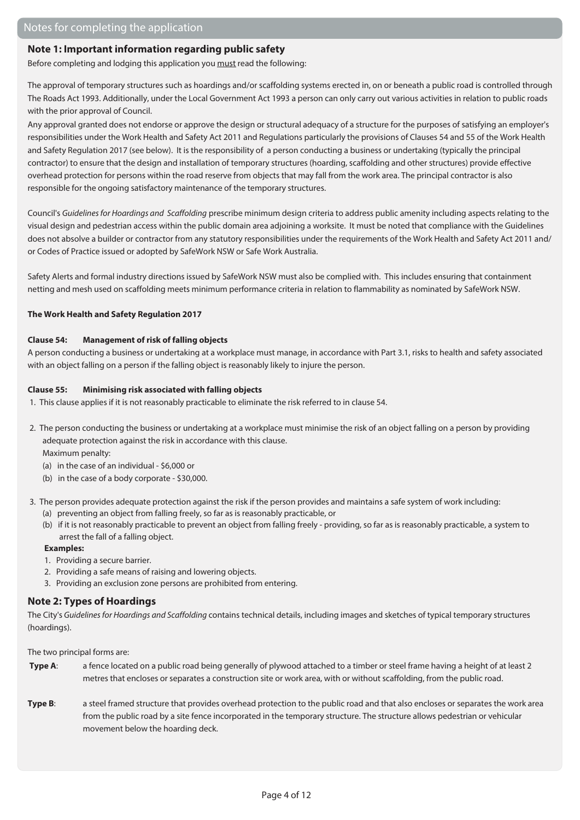#### **Note 1: Important information regarding public safety**

Before completing and lodging this application you must read the following:

The approval of temporary structures such as hoardings and/or scaffolding systems erected in, on or beneath a public road is controlled through The Roads Act 1993. Additionally, under the Local Government Act 1993 a person can only carry out various activities in relation to public roads with the prior approval of Council.

Any approval granted does not endorse or approve the design or structural adequacy of a structure for the purposes of satisfying an employer's responsibilities under the Work Health and Safety Act 2011 and Regulations particularly the provisions of Clauses 54 and 55 of the Work Health and Safety Regulation 2017 (see below). It is the responsibility of a person conducting a business or undertaking (typically the principal contractor) to ensure that the design and installation of temporary structures (hoarding, scaffolding and other structures) provide effective overhead protection for persons within the road reserve from objects that may fall from the work area. The principal contractor is also responsible for the ongoing satisfactory maintenance of the temporary structures.

Council's Guidelines for Hoardings and Scaffolding prescribe minimum design criteria to address public amenity including aspects relating to the visual design and pedestrian access within the public domain area adjoining a worksite. It must be noted that compliance with the Guidelines does not absolve a builder or contractor from any statutory responsibilities under the requirements of the Work Health and Safety Act 2011 and/ or Codes of Practice issued or adopted by SafeWork NSW or Safe Work Australia.

Safety Alerts and formal industry directions issued by SafeWork NSW must also be complied with. This includes ensuring that containment netting and mesh used on scaffolding meets minimum performance criteria in relation to flammability as nominated by SafeWork NSW.

#### **The Work Health and Safety Regulation 2017**

#### **Clause 54: Management of risk of falling objects**

A person conducting a business or undertaking at a workplace must manage, in accordance with Part 3.1, risks to health and safety associated with an object falling on a person if the falling object is reasonably likely to injure the person.

#### **Clause 55: Minimising risk associated with falling objects**

- 1. This clause applies if it is not reasonably practicable to eliminate the risk referred to in clause 54.
- 2. The person conducting the business or undertaking at a workplace must minimise the risk of an object falling on a person by providing adequate protection against the risk in accordance with this clause.

Maximum penalty:

- (a) in the case of an individual \$6,000 or
- (b) in the case of a body corporate \$30,000.
- 3. The person provides adequate protection against the risk if the person provides and maintains a safe system of work including:
	- (a) preventing an object from falling freely, so far as is reasonably practicable, or
	- (b) if it is not reasonably practicable to prevent an object from falling freely providing, so far as is reasonably practicable, a system to arrest the fall of a falling object.

#### **Examples:**

- 1. Providing a secure barrier.
- 2. Providing a safe means of raising and lowering objects.
- 3. Providing an exclusion zone persons are prohibited from entering.

#### **Note 2: Types of Hoardings**

The City's Guidelines for Hoardings and Scaffolding contains technical details, including images and sketches of typical temporary structures (hoardings).

The two principal forms are:

- **Type A:** a fence located on a public road being generally of plywood attached to a timber or steel frame having a height of at least 2 metres that encloses or separates a construction site or work area, with or without scaffolding, from the public road.
- **Type B**: a steel framed structure that provides overhead protection to the public road and that also encloses or separates the work area from the public road by a site fence incorporated in the temporary structure. The structure allows pedestrian or vehicular movement below the hoarding deck.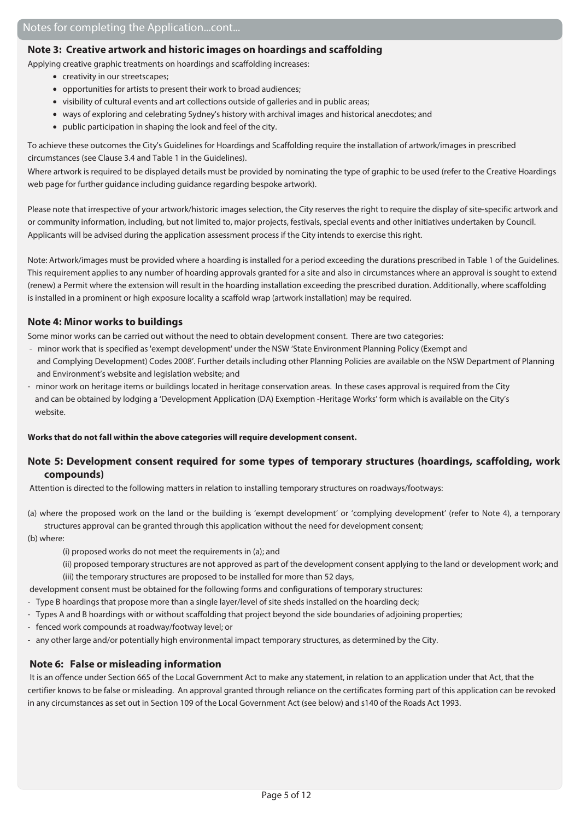#### **Note 3: Creative artwork and historic images on hoardings and scaffolding**

Applying creative graphic treatments on hoardings and scaffolding increases:

- creativity in our streetscapes;
- opportunities for artists to present their work to broad audiences;
- visibility of cultural events and art collections outside of galleries and in public areas;
- ways of exploring and celebrating Sydney's history with archival images and historical anecdotes; and
- public participation in shaping the look and feel of the city.

To achieve these outcomes the City's Guidelines for Hoardings and Scaffolding require the installation of artwork/images in prescribed circumstances (see Clause 3.4 and Table 1 in the Guidelines).

Where artwork is required to be displayed details must be provided by nominating the type of graphic to be used (refer to the Creative Hoardings web page for further guidance including guidance regarding bespoke artwork).

Please note that irrespective of your artwork/historic images selection, the City reserves the right to require the display of site-specific artwork and or community information, including, but not limited to, major projects, festivals, special events and other initiatives undertaken by Council. Applicants will be advised during the application assessment process if the City intends to exercise this right.

Note: Artwork/images must be provided where a hoarding is installed for a period exceeding the durations prescribed in Table 1 of the Guidelines. This requirement applies to any number of hoarding approvals granted for a site and also in circumstances where an approval is sought to extend (renew) a Permit where the extension will result in the hoarding installation exceeding the prescribed duration. Additionally, where scaffolding is installed in a prominent or high exposure locality a scaffold wrap (artwork installation) may be required.

#### **Note 4: Minor works to buildings**

Some minor works can be carried out without the need to obtain development consent. There are two categories:

- minor work that is specified as 'exempt development' under the NSW 'State Environment Planning Policy (Exempt and and Complying Development) Codes 2008'. Further details including other Planning Policies are available on the NSW Department of Planning and Environment's website and legislation website; and
- minor work on heritage items or buildings located in heritage conservation areas. In these cases approval is required from the City and can be obtained by lodging a 'Development Application (DA) Exemption -Heritage Works' form which is available on the City's website.

#### **Works that do not fall within the above categories will require development consent.**

#### **Note 5: Development consent required for some types of temporary structures (hoardings, scaffolding, work compounds)**

Attention is directed to the following matters in relation to installing temporary structures on roadways/footways:

(a) where the proposed work on the land or the building is 'exempt development' or 'complying development' (refer to Note 4), a temporary structures approval can be granted through this application without the need for development consent;

(b) where:

(i) proposed works do not meet the requirements in (a); and

 (ii) proposed temporary structures are not approved as part of the development consent applying to the land or development work; and (iii) the temporary structures are proposed to be installed for more than 52 days,

development consent must be obtained for the following forms and configurations of temporary structures:

- Type B hoardings that propose more than a single layer/level of site sheds installed on the hoarding deck;
- Types A and B hoardings with or without scaffolding that project beyond the side boundaries of adjoining properties;
- fenced work compounds at roadway/footway level; or
- any other large and/or potentially high environmental impact temporary structures, as determined by the City.

#### **Note 6: False or misleading information**

It is an offence under Section 665 of the Local Government Act to make any statement, in relation to an application under that Act, that the certifier knows to be false or misleading. An approval granted through reliance on the certificates forming part of this application can be revoked in any circumstances as set out in Section 109 of the Local Government Act (see below) and s140 of the Roads Act 1993.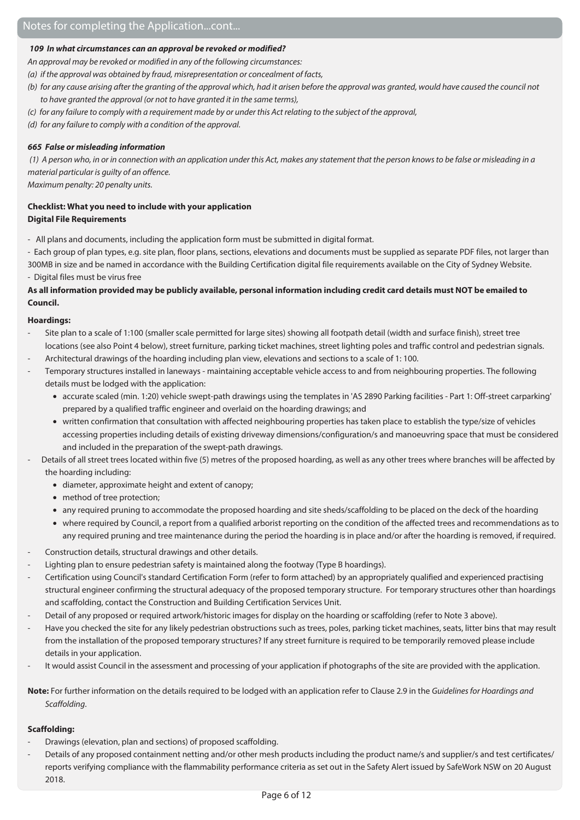#### **109 In what circumstances can an approval be revoked or modified?**

An approval may be revoked or modified in any of the following circumstances:

(a) if the approval was obtained by fraud, misrepresentation or concealment of facts,

- (b) for any cause arising after the granting of the approval which, had it arisen before the approval was granted, would have caused the council not to have granted the approval (or not to have granted it in the same terms),
- (c) for any failure to comply with a requirement made by or under this Act relating to the subject of the approval,
- (d) for any failure to comply with a condition of the approval.

#### **665 False or misleading information**

(1) A person who, in or in connection with an application under this Act, makes any statement that the person knows to be false or misleading in a material particular is guilty of an offence.

Maximum penalty: 20 penalty units.

#### **Checklist: What you need to include with your application Digital File Requirements**

- All plans and documents, including the application form must be submitted in digital format.

- Each group of plan types, e.g. site plan, floor plans, sections, elevations and documents must be supplied as separate PDF files, not larger than 300MB in size and be named in accordance with the Building Certification digital file requirements available on the City of Sydney Website. - Digital files must be virus free

#### **As all information provided may be publicly available, personal information including credit card details must NOT be emailed to Council.**

#### **Hoardings:**

- Site plan to a scale of 1:100 (smaller scale permitted for large sites) showing all footpath detail (width and surface finish), street tree locations (see also Point 4 below), street furniture, parking ticket machines, street lighting poles and traffic control and pedestrian signals.
- Architectural drawings of the hoarding including plan view, elevations and sections to a scale of 1: 100.
- Temporary structures installed in laneways maintaining acceptable vehicle access to and from neighbouring properties. The following details must be lodged with the application:
	- accurate scaled (min. 1:20) vehicle swept-path drawings using the templates in 'AS 2890 Parking facilities Part 1: Off-street carparking' prepared by a qualified traffic engineer and overlaid on the hoarding drawings; and
	- written confirmation that consultation with affected neighbouring properties has taken place to establish the type/size of vehicles accessing properties including details of existing driveway dimensions/configuration/s and manoeuvring space that must be considered and included in the preparation of the swept-path drawings.
- Details of all street trees located within five (5) metres of the proposed hoarding, as well as any other trees where branches will be affected by the hoarding including:
	- diameter, approximate height and extent of canopy;
	- method of tree protection;
	- any required pruning to accommodate the proposed hoarding and site sheds/scaffolding to be placed on the deck of the hoarding
	- where required by Council, a report from a qualified arborist reporting on the condition of the affected trees and recommendations as to any required pruning and tree maintenance during the period the hoarding is in place and/or after the hoarding is removed, if required.
- Construction details, structural drawings and other details.
- Lighting plan to ensure pedestrian safety is maintained along the footway (Type B hoardings).
- Certification using Council's standard Certification Form (refer to form attached) by an appropriately qualified and experienced practising structural engineer confirming the structural adequacy of the proposed temporary structure. For temporary structures other than hoardings and scaffolding, contact the Construction and Building Certification Services Unit.
- Detail of any proposed or required artwork/historic images for display on the hoarding or scaffolding (refer to Note 3 above).
- Have you checked the site for any likely pedestrian obstructions such as trees, poles, parking ticket machines, seats, litter bins that may result from the installation of the proposed temporary structures? If any street furniture is required to be temporarily removed please include details in your application.
- It would assist Council in the assessment and processing of your application if photographs of the site are provided with the application.

**Note:** For further information on the details required to be lodged with an application refer to Clause 2.9 in the Guidelines for Hoardings and Scaffolding.

#### **Scaffolding:**

- Drawings (elevation, plan and sections) of proposed scaffolding.
- Details of any proposed containment netting and/or other mesh products including the product name/s and supplier/s and test certificates/ reports verifying compliance with the flammability performance criteria as set out in the Safety Alert issued by SafeWork NSW on 20 August 2018.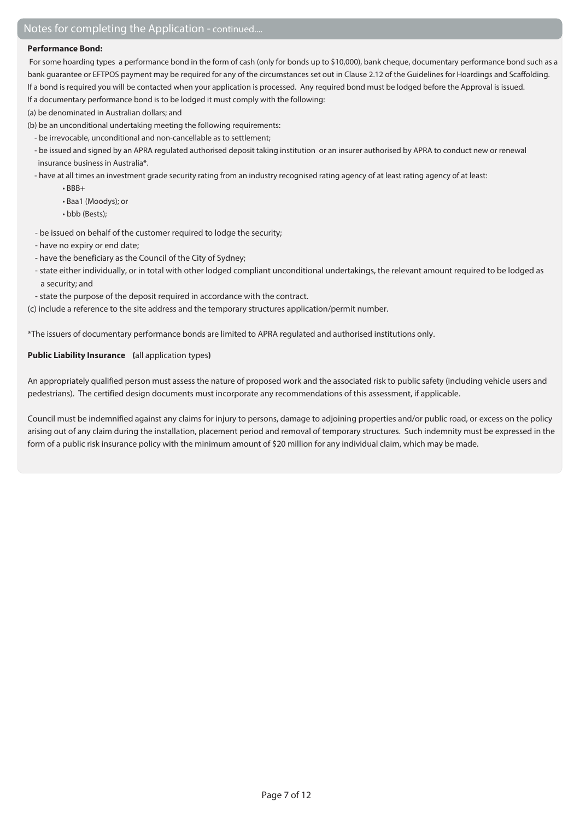#### **Performance Bond:**

 For some hoarding types a performance bond in the form of cash (only for bonds up to \$10,000), bank cheque, documentary performance bond such as a bank guarantee or EFTPOS payment may be required for any of the circumstances set out in Clause 2.12 of the Guidelines for Hoardings and Scaffolding. If a bond is required you will be contacted when your application is processed. Any required bond must be lodged before the Approval is issued.

If a documentary performance bond is to be lodged it must comply with the following:

- (a) be denominated in Australian dollars; and
- (b) be an unconditional undertaking meeting the following requirements:
	- be irrevocable, unconditional and non-cancellable as to settlement;
	- be issued and signed by an APRA regulated authorised deposit taking institution or an insurer authorised by APRA to conduct new or renewal insurance business in Australia\*.
	- have at all times an investment grade security rating from an industry recognised rating agency of at least rating agency of at least:
		- BBB+
		- Baa1 (Moodys); or
		- bbb (Bests);
	- be issued on behalf of the customer required to lodge the security;
	- have no expiry or end date;
	- have the beneficiary as the Council of the City of Sydney;
	- state either individually, or in total with other lodged compliant unconditional undertakings, the relevant amount required to be lodged as a security; and
	- state the purpose of the deposit required in accordance with the contract.

(c) include a reference to the site address and the temporary structures application/permit number.

\*The issuers of documentary performance bonds are limited to APRA regulated and authorised institutions only.

#### **Public Liability Insurance (**all application types**)**

An appropriately qualified person must assess the nature of proposed work and the associated risk to public safety (including vehicle users and pedestrians). The certified design documents must incorporate any recommendations of this assessment, if applicable.

Council must be indemnified against any claims for injury to persons, damage to adjoining properties and/or public road, or excess on the policy arising out of any claim during the installation, placement period and removal of temporary structures. Such indemnity must be expressed in the form of a public risk insurance policy with the minimum amount of \$20 million for any individual claim, which may be made.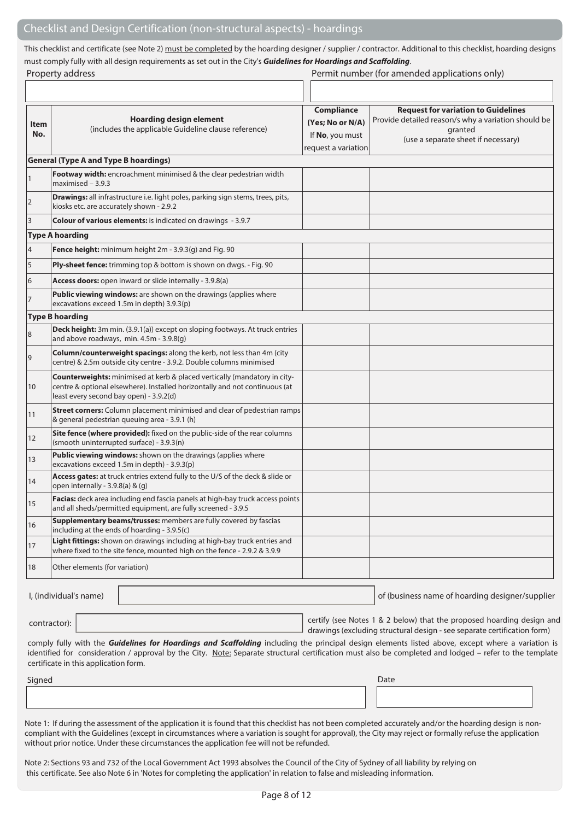This checklist and certificate (see Note 2) must be completed by the hoarding designer / supplier / contractor. Additional to this checklist, hoarding designs must comply fully with all design requirements as set out in the City's **Guidelines for Hoardings and Scaffolding**.

|                | Property address                                                                                                                                                                                                                                                                                                                                    |                                                                                 | Permit number (for amended applications only)                                                                                                       |
|----------------|-----------------------------------------------------------------------------------------------------------------------------------------------------------------------------------------------------------------------------------------------------------------------------------------------------------------------------------------------------|---------------------------------------------------------------------------------|-----------------------------------------------------------------------------------------------------------------------------------------------------|
|                |                                                                                                                                                                                                                                                                                                                                                     |                                                                                 |                                                                                                                                                     |
| Item<br>No.    | <b>Hoarding design element</b><br>(includes the applicable Guideline clause reference)                                                                                                                                                                                                                                                              | <b>Compliance</b><br>(Yes; No or N/A)<br>If No, you must<br>request a variation | <b>Request for variation to Guidelines</b><br>Provide detailed reason/s why a variation should be<br>granted<br>(use a separate sheet if necessary) |
|                | <b>General (Type A and Type B hoardings)</b>                                                                                                                                                                                                                                                                                                        |                                                                                 |                                                                                                                                                     |
| $\mathbf{1}$   | Footway width: encroachment minimised & the clear pedestrian width<br>$maximised - 3.9.3$                                                                                                                                                                                                                                                           |                                                                                 |                                                                                                                                                     |
| $\overline{2}$ | Drawings: all infrastructure i.e. light poles, parking sign stems, trees, pits,<br>kiosks etc. are accurately shown - 2.9.2                                                                                                                                                                                                                         |                                                                                 |                                                                                                                                                     |
| 3              | Colour of various elements: is indicated on drawings - 3.9.7                                                                                                                                                                                                                                                                                        |                                                                                 |                                                                                                                                                     |
|                | <b>Type A hoarding</b>                                                                                                                                                                                                                                                                                                                              |                                                                                 |                                                                                                                                                     |
| $\overline{4}$ | Fence height: minimum height 2m - 3.9.3(g) and Fig. 90                                                                                                                                                                                                                                                                                              |                                                                                 |                                                                                                                                                     |
| 5              | Ply-sheet fence: trimming top & bottom is shown on dwgs. - Fig. 90                                                                                                                                                                                                                                                                                  |                                                                                 |                                                                                                                                                     |
| 6              | Access doors: open inward or slide internally - 3.9.8(a)                                                                                                                                                                                                                                                                                            |                                                                                 |                                                                                                                                                     |
| 7              | Public viewing windows: are shown on the drawings (applies where<br>excavations exceed 1.5m in depth) 3.9.3(p)                                                                                                                                                                                                                                      |                                                                                 |                                                                                                                                                     |
|                | <b>Type B hoarding</b>                                                                                                                                                                                                                                                                                                                              |                                                                                 |                                                                                                                                                     |
| 8              | Deck height: 3m min. (3.9.1(a)) except on sloping footways. At truck entries<br>and above roadways, min. 4.5m - 3.9.8(g)                                                                                                                                                                                                                            |                                                                                 |                                                                                                                                                     |
| 9              | Column/counterweight spacings: along the kerb, not less than 4m (city<br>centre) & 2.5m outside city centre - 3.9.2. Double columns minimised                                                                                                                                                                                                       |                                                                                 |                                                                                                                                                     |
| 10             | Counterweights: minimised at kerb & placed vertically (mandatory in city-<br>centre & optional elsewhere). Installed horizontally and not continuous (at<br>least every second bay open) - 3.9.2(d)                                                                                                                                                 |                                                                                 |                                                                                                                                                     |
| 11             | Street corners: Column placement minimised and clear of pedestrian ramps<br>& general pedestrian queuing area - 3.9.1 (h)                                                                                                                                                                                                                           |                                                                                 |                                                                                                                                                     |
| 12             | Site fence (where provided): fixed on the public-side of the rear columns<br>(smooth uninterrupted surface) - 3.9.3(n)                                                                                                                                                                                                                              |                                                                                 |                                                                                                                                                     |
| 13             | <b>Public viewing windows:</b> shown on the drawings (applies where<br>excavations exceed 1.5m in depth) - 3.9.3(p)                                                                                                                                                                                                                                 |                                                                                 |                                                                                                                                                     |
| 14             | Access gates: at truck entries extend fully to the U/S of the deck & slide or<br>open internally - 3.9.8(a) & (g)                                                                                                                                                                                                                                   |                                                                                 |                                                                                                                                                     |
| 15             | Facias: deck area including end fascia panels at high-bay truck access points<br>and all sheds/permitted equipment, are fully screened - 3.9.5                                                                                                                                                                                                      |                                                                                 |                                                                                                                                                     |
| 16             | Supplementary beams/trusses: members are fully covered by fascias<br>including at the ends of hoarding - 3.9.5(c)                                                                                                                                                                                                                                   |                                                                                 |                                                                                                                                                     |
| 17             | Light fittings: shown on drawings including at high-bay truck entries and<br>where fixed to the site fence, mounted high on the fence - 2.9.2 & 3.9.9                                                                                                                                                                                               |                                                                                 |                                                                                                                                                     |
| 18             | Other elements (for variation)                                                                                                                                                                                                                                                                                                                      |                                                                                 |                                                                                                                                                     |
|                | I, (individual's name)                                                                                                                                                                                                                                                                                                                              |                                                                                 | of (business name of hoarding designer/supplier                                                                                                     |
| contractor):   |                                                                                                                                                                                                                                                                                                                                                     |                                                                                 | certify (see Notes 1 & 2 below) that the proposed hoarding design and<br>drawings (excluding structural design - see separate certification form)   |
|                | comply fully with the Guidelines for Hoardings and Scaffolding including the principal design elements listed above, except where a variation is<br>identified for consideration / approval by the City. Note: Separate structural certification must also be completed and lodged - refer to the template<br>certificate in this application form. |                                                                                 |                                                                                                                                                     |
| Signed         |                                                                                                                                                                                                                                                                                                                                                     |                                                                                 | Date                                                                                                                                                |
|                |                                                                                                                                                                                                                                                                                                                                                     |                                                                                 |                                                                                                                                                     |

Note 1: If during the assessment of the application it is found that this checklist has not been completed accurately and/or the hoarding design is noncompliant with the Guidelines (except in circumstances where a variation is sought for approval), the City may reject or formally refuse the application without prior notice. Under these circumstances the application fee will not be refunded.

Note 2: Sections 93 and 732 of the Local Government Act 1993 absolves the Council of the City of Sydney of all liability by relying on this certificate. See also Note 6 in 'Notes for completing the application' in relation to false and misleading information.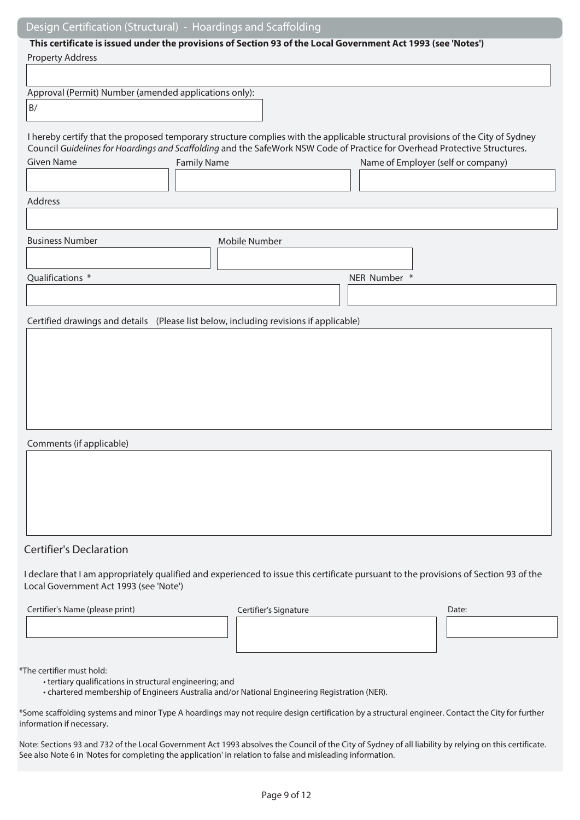## Design Certification (Structural) - Hoardings and Scaffolding

## **This certificate is issued under the provisions of Section 93 of the Local Government Act 1993 (see 'Notes')**

| <b>Property Address</b>                                                                                                                                                                                                                                                                                                                                                                                                 | This certificate is issued under the provisions of Section 93 of the Local Government Act 1993 (see 'Notes') |                                    |       |
|-------------------------------------------------------------------------------------------------------------------------------------------------------------------------------------------------------------------------------------------------------------------------------------------------------------------------------------------------------------------------------------------------------------------------|--------------------------------------------------------------------------------------------------------------|------------------------------------|-------|
|                                                                                                                                                                                                                                                                                                                                                                                                                         |                                                                                                              |                                    |       |
| Approval (Permit) Number (amended applications only):                                                                                                                                                                                                                                                                                                                                                                   |                                                                                                              |                                    |       |
| $\mathsf{B}/% \mathsf{B}/\mathsf{B}/\mathsf{B}/\mathsf{B}/\mathsf{B}/\mathsf{B}/\mathsf{B}/\mathsf{B}/\mathsf{B}/\mathsf{B}/\mathsf{B}/\mathsf{B}/\mathsf{B}/\mathsf{B}/\mathsf{B}/\mathsf{B}/\mathsf{B}/\mathsf{B}/\mathsf{B}/\mathsf{B}/\mathsf{B}/\mathsf{B}/\mathsf{B}/\mathsf{B}/\mathsf{B}/\mathsf{B}/\mathsf{B}/\mathsf{B}/\mathsf{B}/\mathsf{B}/\mathsf{B}/\mathsf{B}/\mathsf{B}/\mathsf{B}/\mathsf{B}/\mathsf$ |                                                                                                              |                                    |       |
| I hereby certify that the proposed temporary structure complies with the applicable structural provisions of the City of Sydney<br>Council Guidelines for Hoardings and Scaffolding and the SafeWork NSW Code of Practice for Overhead Protective Structures.                                                                                                                                                           |                                                                                                              |                                    |       |
| <b>Given Name</b>                                                                                                                                                                                                                                                                                                                                                                                                       | <b>Family Name</b>                                                                                           | Name of Employer (self or company) |       |
| Address                                                                                                                                                                                                                                                                                                                                                                                                                 |                                                                                                              |                                    |       |
|                                                                                                                                                                                                                                                                                                                                                                                                                         |                                                                                                              |                                    |       |
| <b>Business Number</b>                                                                                                                                                                                                                                                                                                                                                                                                  | Mobile Number                                                                                                |                                    |       |
|                                                                                                                                                                                                                                                                                                                                                                                                                         |                                                                                                              |                                    |       |
| Qualifications *                                                                                                                                                                                                                                                                                                                                                                                                        |                                                                                                              | NER Number *                       |       |
|                                                                                                                                                                                                                                                                                                                                                                                                                         |                                                                                                              |                                    |       |
| Certified drawings and details (Please list below, including revisions if applicable)                                                                                                                                                                                                                                                                                                                                   |                                                                                                              |                                    |       |
|                                                                                                                                                                                                                                                                                                                                                                                                                         |                                                                                                              |                                    |       |
|                                                                                                                                                                                                                                                                                                                                                                                                                         |                                                                                                              |                                    |       |
|                                                                                                                                                                                                                                                                                                                                                                                                                         |                                                                                                              |                                    |       |
|                                                                                                                                                                                                                                                                                                                                                                                                                         |                                                                                                              |                                    |       |
|                                                                                                                                                                                                                                                                                                                                                                                                                         |                                                                                                              |                                    |       |
|                                                                                                                                                                                                                                                                                                                                                                                                                         |                                                                                                              |                                    |       |
| Comments (if applicable)                                                                                                                                                                                                                                                                                                                                                                                                |                                                                                                              |                                    |       |
|                                                                                                                                                                                                                                                                                                                                                                                                                         |                                                                                                              |                                    |       |
|                                                                                                                                                                                                                                                                                                                                                                                                                         |                                                                                                              |                                    |       |
|                                                                                                                                                                                                                                                                                                                                                                                                                         |                                                                                                              |                                    |       |
|                                                                                                                                                                                                                                                                                                                                                                                                                         |                                                                                                              |                                    |       |
|                                                                                                                                                                                                                                                                                                                                                                                                                         |                                                                                                              |                                    |       |
| <b>Certifier's Declaration</b>                                                                                                                                                                                                                                                                                                                                                                                          |                                                                                                              |                                    |       |
| I declare that I am appropriately qualified and experienced to issue this certificate pursuant to the provisions of Section 93 of the<br>Local Government Act 1993 (see 'Note')                                                                                                                                                                                                                                         |                                                                                                              |                                    |       |
| Certifier's Name (please print)                                                                                                                                                                                                                                                                                                                                                                                         | Certifier's Signature                                                                                        |                                    | Date: |
|                                                                                                                                                                                                                                                                                                                                                                                                                         |                                                                                                              |                                    |       |

\*The certifier must hold:

- tertiary qualifications in structural engineering; and
- chartered membership of Engineers Australia and/or National Engineering Registration (NER).

\*Some scaffolding systems and minor Type A hoardings may not require design certification by a structural engineer. Contact the City for further information if necessary.

Note: Sections 93 and 732 of the Local Government Act 1993 absolves the Council of the City of Sydney of all liability by relying on this certificate. See also Note 6 in 'Notes for completing the application' in relation to false and misleading information.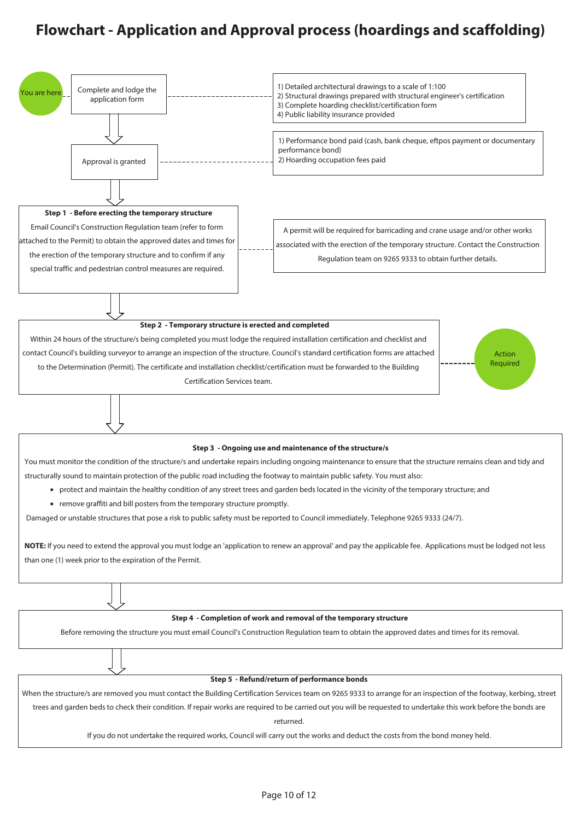## **Flowchart - Application and Approval process (hoardings and scaffolding)**

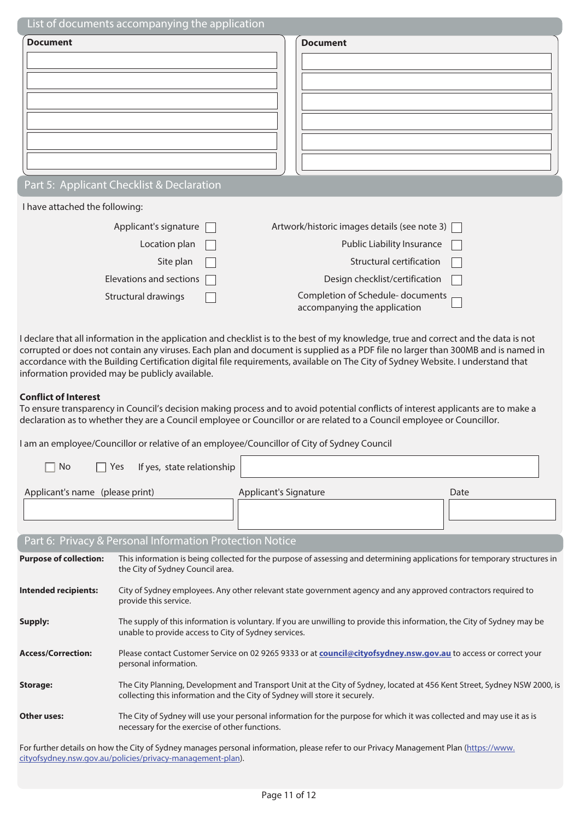| List of documents accompanying the application |                                                                  |
|------------------------------------------------|------------------------------------------------------------------|
| <b>Document</b>                                | <b>Document</b>                                                  |
|                                                |                                                                  |
|                                                |                                                                  |
|                                                |                                                                  |
|                                                |                                                                  |
|                                                |                                                                  |
|                                                |                                                                  |
| Part 5: Applicant Checklist & Declaration      |                                                                  |
| I have attached the following:                 |                                                                  |
| Applicant's signature                          | Artwork/historic images details (see note 3)                     |
| Location plan                                  | Public Liability Insurance                                       |
| Site plan                                      | Structural certification                                         |
| Elevations and sections                        | Design checklist/certification                                   |
| Structural drawings                            | Completion of Schedule-documents<br>accompanying the application |

I declare that all information in the application and checklist is to the best of my knowledge, true and correct and the data is not corrupted or does not contain any viruses. Each plan and document is supplied as a PDF file no larger than 300MB and is named in accordance with the Building Certification digital file requirements, available on The City of Sydney Website. I understand that information provided may be publicly available.

#### **Conflict of Interest**

To ensure transparency in Council's decision making process and to avoid potential conflicts of interest applicants are to make a declaration as to whether they are a Council employee or Councillor or are related to a Council employee or Councillor.

I am an employee/Councillor or relative of an employee/Councillor of City of Sydney Council

| No                              | If yes, state relationship<br>Yes                                                                                                                                                                      |  |  |  |
|---------------------------------|--------------------------------------------------------------------------------------------------------------------------------------------------------------------------------------------------------|--|--|--|
| Applicant's name (please print) | Applicant's Signature<br>Date                                                                                                                                                                          |  |  |  |
|                                 | Part 6: Privacy & Personal Information Protection Notice                                                                                                                                               |  |  |  |
| <b>Purpose of collection:</b>   | This information is being collected for the purpose of assessing and determining applications for temporary structures in<br>the City of Sydney Council area.                                          |  |  |  |
| Intended recipients:            | City of Sydney employees. Any other relevant state government agency and any approved contractors required to<br>provide this service.                                                                 |  |  |  |
| Supply:                         | The supply of this information is voluntary. If you are unwilling to provide this information, the City of Sydney may be<br>unable to provide access to City of Sydney services.                       |  |  |  |
| <b>Access/Correction:</b>       | Please contact Customer Service on 02 9265 9333 or at <b>council@cityofsydney.nsw.gov.au</b> to access or correct your<br>personal information.                                                        |  |  |  |
| Storage:                        | The City Planning, Development and Transport Unit at the City of Sydney, located at 456 Kent Street, Sydney NSW 2000, is<br>collecting this information and the City of Sydney will store it securely. |  |  |  |
| Other uses:                     | The City of Sydney will use your personal information for the purpose for which it was collected and may use it as is<br>necessary for the exercise of other functions.                                |  |  |  |

For further details on how the City of Sydney manages personal information, please refer to our Privacy Management Plan (https://www. cityofsydney.nsw.gov.au/policies/privacy-management-plan).